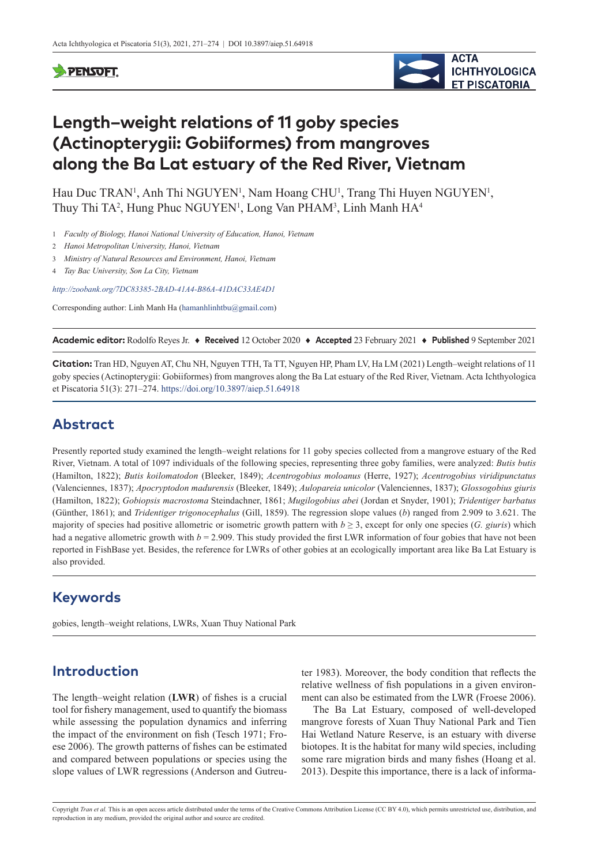#### **PENSOFT**



# **Length–weight relations of 11 goby species (Actinopterygii: Gobiiformes) from mangroves along the Ba Lat estuary of the Red River, Vietnam**

Hau Duc TRAN<sup>1</sup>, Anh Thi NGUYEN<sup>1</sup>, Nam Hoang CHU<sup>1</sup>, Trang Thi Huyen NGUYEN<sup>1</sup>, Thuy Thi TA<sup>2</sup>, Hung Phuc NGUYEN<sup>1</sup>, Long Van PHAM<sup>3</sup>, Linh Manh HA<sup>4</sup>

- 1 *Faculty of Biology, Hanoi National University of Education, Hanoi, Vietnam*
- 2 *Hanoi Metropolitan University, Hanoi, Vietnam*
- 3 *Ministry of Natural Resources and Environment, Hanoi, Vietnam*
- 4 *Tay Bac University, Son La City, Vietnam*

*<http://zoobank.org/7DC83385-2BAD-41A4-B86A-41DAC33AE4D1>*

Corresponding author: Linh Manh Ha [\(hamanhlinhtbu@gmail.com](mailto:hamanhlinhtbu@gmail.com))

**Academic editor:** Rodolfo Reyes Jr. ♦ **Received** 12 October 2020 ♦ **Accepted** 23 February 2021 ♦ **Published** 9 September 2021

**Citation:** Tran HD, Nguyen AT, Chu NH, Nguyen TTH, Ta TT, Nguyen HP, Pham LV, Ha LM (2021) Length–weight relations of 11 goby species (Actinopterygii: Gobiiformes) from mangroves along the Ba Lat estuary of the Red River, Vietnam. Acta Ichthyologica et Piscatoria 51(3): 271–274. <https://doi.org/10.3897/aiep.51.64918>

### **Abstract**

Presently reported study examined the length–weight relations for 11 goby species collected from a mangrove estuary of the Red River, Vietnam. A total of 1097 individuals of the following species, representing three goby families, were analyzed: *Butis butis* (Hamilton, 1822); *Butis koilomatodon* (Bleeker, 1849); *Acentrogobius moloanus* (Herre, 1927); *Acentrogobius viridipunctatus* (Valenciennes, 1837); *Apocryptodon madurensis* (Bleeker, 1849); *Aulopareia unicolor* (Valenciennes, 1837); *Glossogobius giuris* (Hamilton, 1822); *Gobiopsis macrostoma* Steindachner, 1861; *Mugilogobius abei* (Jordan et Snyder, 1901); *Tridentiger barbatus* (Günther, 1861); and *Tridentiger trigonocephalus* (Gill, 1859). The regression slope values (*b*) ranged from 2.909 to 3.621. The majority of species had positive allometric or isometric growth pattern with  $b \geq 3$ , except for only one species (*G. giuris*) which had a negative allometric growth with  $b = 2.909$ . This study provided the first LWR information of four gobies that have not been reported in FishBase yet. Besides, the reference for LWRs of other gobies at an ecologically important area like Ba Lat Estuary is also provided.

# **Keywords**

gobies, length–weight relations, LWRs, Xuan Thuy National Park

# **Introduction**

The length–weight relation (**LWR**) of fishes is a crucial tool for fishery management, used to quantify the biomass while assessing the population dynamics and inferring the impact of the environment on fish (Tesch 1971; Froese 2006). The growth patterns of fishes can be estimated and compared between populations or species using the slope values of LWR regressions (Anderson and Gutreuter 1983). Moreover, the body condition that reflects the relative wellness of fish populations in a given environment can also be estimated from the LWR (Froese 2006).

The Ba Lat Estuary, composed of well-developed mangrove forests of Xuan Thuy National Park and Tien Hai Wetland Nature Reserve, is an estuary with diverse biotopes. It is the habitat for many wild species, including some rare migration birds and many fishes (Hoang et al. 2013). Despite this importance, there is a lack of informa-

Copyright *Tran et al.* This is an open access article distributed under the terms of the [Creative Commons Attribution License \(CC BY 4.0\)](http://creativecommons.org/licenses/by/4.0/), which permits unrestricted use, distribution, and reproduction in any medium, provided the original author and source are credited.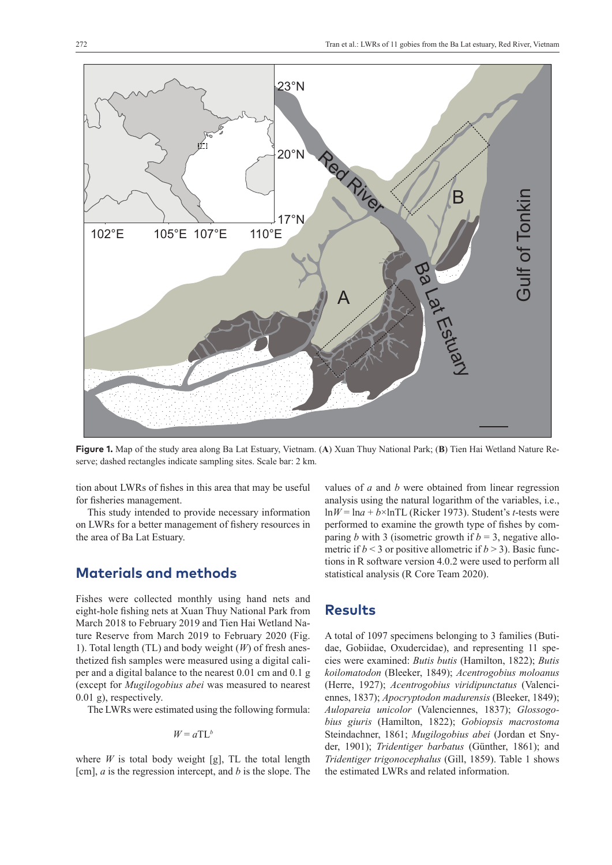

**Figure 1.** Map of the study area along Ba Lat Estuary, Vietnam. (**A**) Xuan Thuy National Park; (**B**) Tien Hai Wetland Nature Reserve; dashed rectangles indicate sampling sites. Scale bar: 2 km.

tion about LWRs of fishes in this area that may be useful for fisheries management.

This study intended to provide necessary information on LWRs for a better management of fishery resources in the area of Ba Lat Estuary.

#### **Materials and methods**

Fishes were collected monthly using hand nets and eight-hole fishing nets at Xuan Thuy National Park from March 2018 to February 2019 and Tien Hai Wetland Nature Reserve from March 2019 to February 2020 (Fig. 1). Total length (TL) and body weight (*W*) of fresh anesthetized fish samples were measured using a digital caliper and a digital balance to the nearest 0.01 cm and 0.1 g (except for *Mugilogobius abei* was measured to nearest 0.01 g), respectively.

The LWRs were estimated using the following formula:

$$
W = a \mathrm{T} \mathrm{L}^b
$$

where  $W$  is total body weight [g], TL the total length [cm], *a* is the regression intercept, and *b* is the slope. The values of *a* and *b* were obtained from linear regression analysis using the natural logarithm of the variables, i.e.,  $ln W = ln a + b \times ln TL$  (Ricker 1973). Student's *t*-tests were performed to examine the growth type of fishes by comparing *b* with 3 (isometric growth if  $b = 3$ , negative allometric if  $b < 3$  or positive allometric if  $b > 3$ ). Basic functions in R software version 4.0.2 were used to perform all statistical analysis (R Core Team 2020).

#### **Results**

A total of 1097 specimens belonging to 3 families (Butidae, Gobiidae, Oxudercidae), and representing 11 species were examined: *Butis butis* (Hamilton, 1822); *Butis koilomatodon* (Bleeker, 1849); *Acentrogobius moloanus* (Herre, 1927); *Acentrogobius viridipunctatus* (Valenciennes, 1837); *Apocryptodon madurensis* (Bleeker, 1849); *Aulopareia unicolor* (Valenciennes, 1837); *Glossogobius giuris* (Hamilton, 1822); *Gobiopsis macrostoma* Steindachner, 1861; *Mugilogobius abei* (Jordan et Snyder, 1901); *Tridentiger barbatus* (Günther, 1861); and *Tridentiger trigonocephalus* (Gill, 1859). Table 1 shows the estimated LWRs and related information.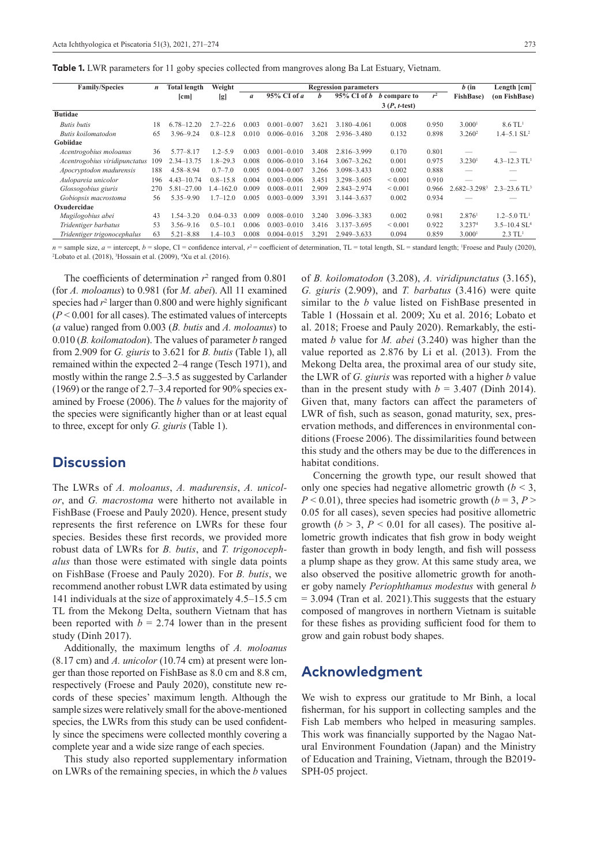|  |  | Table 1. LWR parameters for 11 goby species collected from mangroves along Ba Lat Estuary, Vietnam. |  |  |  |  |  |  |  |  |  |  |
|--|--|-----------------------------------------------------------------------------------------------------|--|--|--|--|--|--|--|--|--|--|
|--|--|-----------------------------------------------------------------------------------------------------|--|--|--|--|--|--|--|--|--|--|

| <b>Family/Species</b>         | $\boldsymbol{n}$ | <b>Total length</b> | Weight        |                  | <b>Regression parameters</b> | $b$ (in | Length [cm]     |                     |       |                    |                              |
|-------------------------------|------------------|---------------------|---------------|------------------|------------------------------|---------|-----------------|---------------------|-------|--------------------|------------------------------|
|                               |                  | cm                  | [g]           | $\boldsymbol{a}$ | 95% CI of a                  | h       | $95\%$ CI of b  | <i>b</i> compare to | $r^2$ | <b>FishBase</b> )  | (on FishBase)                |
|                               |                  |                     |               |                  |                              |         |                 | $3(P, t-test)$      |       |                    |                              |
| <b>Butidae</b>                |                  |                     |               |                  |                              |         |                 |                     |       |                    |                              |
| <b>Butis</b> butis            |                  | $.78 - 12.20$<br>6  | $2.7 - 22.6$  | 0.003            | $0.001 - 0.007$              | 3.621   | 3.180-4.061     | 0.008               | 0.950 | 3.000 <sup>1</sup> | $8.6$ TL <sup>1</sup>        |
| Butis koilomatodon            |                  | 3.96-9.24           | $0.8 - 12.8$  | 0.010            | $0.006 - 0.016$              | 3.208   | 2.936-3.480     | 0.132               | 0.898 | 3.260 <sup>2</sup> | $1.4 - 5.1$ SL <sup>2</sup>  |
| Gobiidae                      |                  |                     |               |                  |                              |         |                 |                     |       |                    |                              |
| Acentrogobius moloanus        | 36               | $5.77 - 8.17$       | $1.2 - 5.9$   | 0.003            | $0.001 - 0.010$              | 3.408   | 2.816-3.999     | 0.170               | 0.801 |                    |                              |
| Acentrogobius viridipunctatus | 109              | 2.34–13.75          | 1.8–29.3      | 0.008            | $0.006 - 0.010$              | 3.164   | $3.067 - 3.262$ | 0.001               | 0.975 | 3.230 <sup>1</sup> | $4.3 - 12.3$ TL <sup>1</sup> |
| Apocryptodon madurensis       | 188              | $4.58 - 8.94$       | $0.7 - 7.0$   | 0.005            | $0.004 - 0.007$              | 3.266   | 3.098-3.433     | 0.002               | 0.888 |                    |                              |
| Aulopareia unicolor           |                  | $4.43 - 10.74$      | $0.8 - 15.8$  | 0.004            | $0.003 - 0.006$              | 3.451   | 3.298-3.605     | ${}_{0.001}$        | 0.910 |                    |                              |
| Glossogobius giuris           |                  | $5.81 - 27.00$      | $-4-162.0$    | 0.009            | $0.008 - 0.011$              | 2.909   | 2.843-2.974     | ${}< 0.001$         | 0.966 | $2.682 - 3.2983$   | $2.3 - 23.6$ TL <sup>3</sup> |
| Gobiopsis macrostoma          |                  | $5.35 - 9.90$       | 1.7–12.0      | 0.005            | $0.003 - 0.009$              | 3.391   | 3.144-3.637     | 0.002               | 0.934 |                    |                              |
| Oxudercidae                   |                  |                     |               |                  |                              |         |                 |                     |       |                    |                              |
| Mugilogobius abei             |                  | $.54 - 3.20$        | $0.04 - 0.33$ | 0.009            | $0.008 - 0.010$              | 3.240   | 3.096-3.383     | 0.002               | 0.981 | 2.876 <sup>1</sup> | $1.2 - 5.0$ TL <sup>1</sup>  |
| Tridentiger barbatus          |                  | $3.56 - 9.16$       | $0.5 - 10.1$  | 0.006            | $0.003 - 0.010$              | 3.416   | $3.137 - 3.695$ | ${}_{0.001}$        | 0.922 | 3.2374             | $3.5 - 10.4$ SL <sup>4</sup> |
| Tridentiger trigonocephalus   |                  | $5.21 - 8.88$       | $1.4 - 10.3$  | 0.008            | $0.004 - 0.015$              | 3.291   | $2.949 - 3.633$ | 0.094               | 0.859 | 3.000 <sup>1</sup> | $2.3$ TL <sup>1</sup>        |

*n* = sample size, *a* = intercept, *b* = slope, CI = confidence interval, *r*<sup>2</sup> = coefficient of determination, TL = total length, SL = standard length; <sup>1</sup>Froese and Pauly (2020), <sup>2</sup>I obsto et al. (2018), <sup>3</sup>Hossein e Lobato et al. (2018), <sup>3</sup>Hossain et al. (2009), <sup>4</sup>Xu et al. (2016).

The coefficients of determination  $r^2$  ranged from 0.801 (for *A. moloanus*) to 0.981 (for *M. abei*). All 11 examined species had  $r^2$  larger than  $0.800$  and were highly significant (*P* < 0.001 for all cases). The estimated values of intercepts (*a* value) ranged from 0.003 (*B. butis* and *A. moloanus*) to 0.010 (*B. koilomatodon*). The values of parameter *b* ranged from 2.909 for *G. giuris* to 3.621 for *B. butis* (Table 1), all remained within the expected 2–4 range (Tesch 1971), and mostly within the range 2.5–3.5 as suggested by Carlander (1969) or the range of 2.7–3.4 reported for 90% species examined by Froese (2006). The *b* values for the majority of the species were significantly higher than or at least equal to three, except for only *G. giuris* (Table 1).

#### **Discussion**

The LWRs of *A. moloanus*, *A. madurensis*, *A. unicolor*, and *G. macrostoma* were hitherto not available in FishBase (Froese and Pauly 2020). Hence, present study represents the first reference on LWRs for these four species. Besides these first records, we provided more robust data of LWRs for *B. butis*, and *T. trigonocephalus* than those were estimated with single data points on FishBase (Froese and Pauly 2020). For *B. butis*, we recommend another robust LWR data estimated by using 141 individuals at the size of approximately 4.5–15.5 cm TL from the Mekong Delta, southern Vietnam that has been reported with  $b = 2.74$  lower than in the present study (Dinh 2017).

Additionally, the maximum lengths of *A. moloanus* (8.17 cm) and *A. unicolor* (10.74 cm) at present were longer than those reported on FishBase as 8.0 cm and 8.8 cm, respectively (Froese and Pauly 2020), constitute new records of these species' maximum length. Although the sample sizes were relatively small for the above-mentioned species, the LWRs from this study can be used confidently since the specimens were collected monthly covering a complete year and a wide size range of each species.

This study also reported supplementary information on LWRs of the remaining species, in which the *b* values of *B. koilomatodon* (3.208), *A. viridipunctatus* (3.165), *G. giuris* (2.909), and *T. barbatus* (3.416) were quite similar to the *b* value listed on FishBase presented in Table 1 (Hossain et al. 2009; Xu et al. 2016; Lobato et al. 2018; Froese and Pauly 2020). Remarkably, the estimated *b* value for *M. abei* (3.240) was higher than the value reported as 2.876 by Li et al. (2013). From the Mekong Delta area, the proximal area of our study site, the LWR of *G. giuris* was reported with a higher *b* value than in the present study with  $b = 3.407$  (Dinh 2014). Given that, many factors can affect the parameters of LWR of fish, such as season, gonad maturity, sex, preservation methods, and differences in environmental conditions (Froese 2006). The dissimilarities found between this study and the others may be due to the differences in habitat conditions.

Concerning the growth type, our result showed that only one species had negative allometric growth  $(b < 3$ ,  $P < 0.01$ ), three species had isometric growth ( $b = 3, P > 1$ 0.05 for all cases), seven species had positive allometric growth  $(b > 3, P < 0.01$  for all cases). The positive allometric growth indicates that fish grow in body weight faster than growth in body length, and fish will possess a plump shape as they grow. At this same study area, we also observed the positive allometric growth for another goby namely *Periophthamus modestus* with general *b* = 3.094 (Tran et al. 2021).This suggests that the estuary composed of mangroves in northern Vietnam is suitable for these fishes as providing sufficient food for them to grow and gain robust body shapes.

#### **Acknowledgment**

We wish to express our gratitude to Mr Binh, a local fisherman, for his support in collecting samples and the Fish Lab members who helped in measuring samples. This work was financially supported by the Nagao Natural Environment Foundation (Japan) and the Ministry of Education and Training, Vietnam, through the B2019- SPH-05 project.